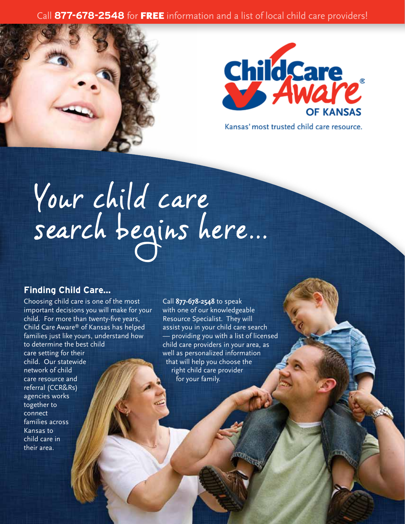### Call **877-678-2548** for FREE information and a list of local child care providers!





Kansas' most trusted child care resource.

# Your child care search begins here...

### **Finding Child Care...**

Choosing child care is one of the most important decisions you will make for your child. For more than twenty-five years, Child Care Aware® of Kansas has helped families just like yours, understand how to determine the best child care setting for their child. Our statewide network of child care resource and referral (CCR&Rs) agencies works together to connect families across Kansas to child care in their area.

Call **877-678-2548** to speak with one of our knowledgeable Resource Specialist. They will assist you in your child care search — providing you with a list of licensed child care providers in your area, as well as personalized information that will help you choose the right child care provider for your family.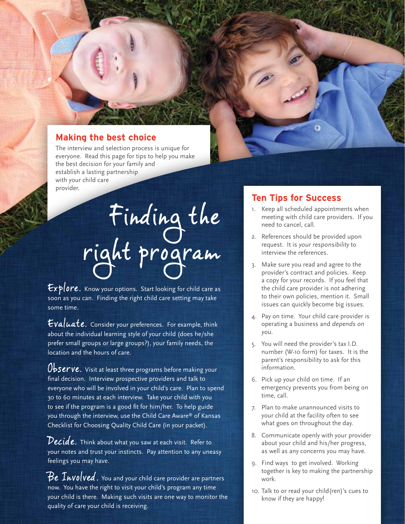### **Making the best choice**

The interview and selection process is unique for everyone. Read this page for tips to help you make the best decision for your family and establish a lasting partnership with your child care provider.

> Finding the right program

 $Explore$ . Know your options. Start looking for child care as soon as you can. Finding the right child care setting may take some time.

Evaluate. Consider your preferences. For example, think about the individual learning style of your child (does he/she prefer small groups or large groups?), your family needs, the location and the hours of care.

Observe. Visit at least three programs before making your final decision. Interview prospective providers and talk to everyone who will be involved in your child's care. Plan to spend 30 to 60 minutes at each interview. Take your child with you to see if the program is a good fit for him/her. To help guide you through the interview, use the Child Care Aware® of Kansas Checklist for Choosing Quality Child Care (in your packet).

Decide. Think about what you saw at each visit. Refer to your notes and trust your instincts. Pay attention to any uneasy feelings you may have.

 $Be$   $Involved$  . You and your child care provider are partners now. You have the right to visit your child's program any time your child is there. Making such visits are one way to monitor the quality of care your child is receiving.

### **Ten Tips for Success**

- 1. Keep all scheduled appointments when meeting with child care providers. If you need to cancel, call.
- 2. References should be provided upon request. It is your responsibility to interview the references.
- 3. Make sure you read and agree to the provider's contract and policies. Keep a copy for your records. If you feel that the child care provider is not adhering to their own policies, mention it. Small issues can quickly become big issues.
- 4. Pay on time. Your child care provider is operating a business and depends on you.
- 5. You will need the provider's tax I.D. number (W-10 form) for taxes. It is the parent's responsibility to ask for this information.
- 6. Pick up your child on time. If an emergency prevents you from being on time, call.
- 7. Plan to make unannounced visits to your child at the facility often to see what goes on throughout the day.
- 8. Communicate openly with your provider about your child and his/her progress, as well as any concerns you may have.
- 9. Find ways to get involved. Working together is key to making the partnership work.
- 10. Talk to or read your child(ren)'s cues to know if they are happy!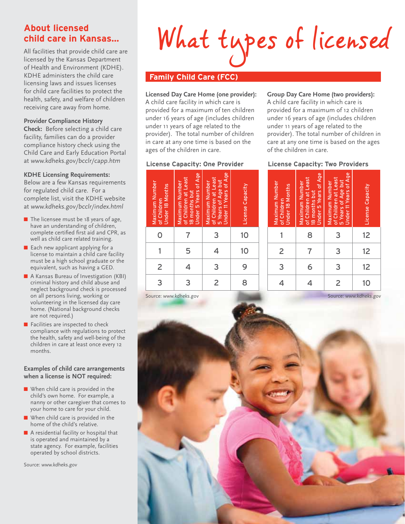### **About licensed child care in Kansas...**

All facilities that provide child care are licensed by the Kansas Department of Health and Environment (KDHE). KDHE administers the child care licensing laws and issues licenses for child care facilities to protect the health, safety, and welfare of children receiving care away from home.

### **Provider Compliance History**

**Check:** Before selecting a child care facility, families can do a provider compliance history check using the Child Care and Early Education Portal at www.kdheks.gov/bcclr/capp.htm

### **KDHE Licensing Requirements:**

Below are a few Kansas requirements for regulated child care. For a complete list, visit the KDHE website at www.kdheks.gov/bcclr/index.html

- The licensee must be 18 years of age, have an understanding of children, complete certified first aid and CPR, as well as child care related training.
- Each new applicant applying for a license to maintain a child care facility must be a high school graduate or the equivalent, such as having a GED.
- A Kansas Bureau of Investigation (KBI) criminal history and child abuse and neglect background check is processed on all persons living, working or volunteering in the licensed day care home. (National background checks are not required.)
- Facilities are inspected to check compliance with regulations to protect the health, safety and well-being of the children in care at least once every 12 months.

### **Examples of child care arrangements when a license is NOT required:**

- When child care is provided in the child's own home. For example, a nanny or other caregiver that comes to your home to care for your child.
- When child care is provided in the home of the child's relative.
- A residential facility or hospital that is operated and maintained by a state agency. For example, facilities operated by school districts.

Source: www.kdheks.gov

# What types of licensed

### **Family Child Care (FCC)**

### **Licensed Day Care Home (one provider):**

A child care facility in which care is provided for a maximum of ten children under 16 years of age (includes children under 11 years of age related to the provider). The total number of children in care at any one time is based on the ages of the children in care.

### **License Capacity: One Provider**

### Maximum Number<br>of Children<br>Under 18 Months<br>Maximum Number<br>18 months but Least<br>18 Maximum Number<br>Under 11 Years of Age<br>5 Years of Age but<br>5 Years of Age but<br>Under 11 Years of Age<br>License Capacity 0 | 7 | 3 | 10 1 | 5 | 4 | 10 2 4 3 9 3 2 8

Source: www.kdheks.gov

**Group Day Care Home (two providers):**

A child care facility in which care is provided for a maximum of 12 children under 16 years of age (includes children under 11 years of age related to the provider). The total number of children in care at any one time is based on the ages of the children in care.

### **License Capacity: Two Providers**

| Maximum Number<br><b>Under 18 Months</b><br>of Children | Under 5 Years of Age<br>of Children at Least<br>Maximum Number<br>18 months but | Under 11 Years of Age<br>of Children at Least<br>5 Years of Age but<br>Maximum Number | License Capacity |
|---------------------------------------------------------|---------------------------------------------------------------------------------|---------------------------------------------------------------------------------------|------------------|
|                                                         | 8                                                                               | 3                                                                                     | 12               |
| $\overline{2}$                                          |                                                                                 | 3                                                                                     | 12               |
| 3                                                       | 6                                                                               | 3                                                                                     | 12               |
|                                                         |                                                                                 | $\overline{c}$                                                                        | 10               |

Source: www.kdheks.gov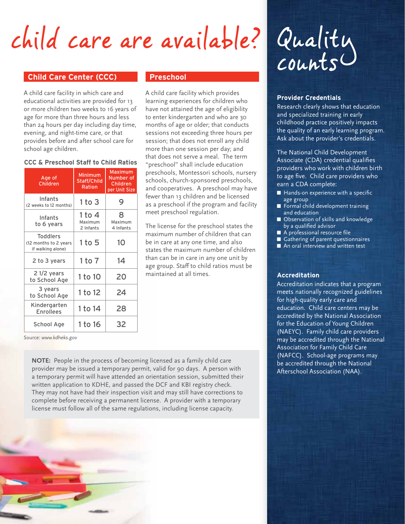## child care are available?

### **Child Care Center (CCC)** Preschool

A child care facility in which care and educational activities are provided for 13 or more children two weeks to 16 years of age for more than three hours and less than 24 hours per day including day time, evening, and night-time care, or that provides before and after school care for school age children.

### **CCC & Preschool Staff to Child Ratios**

| Age of<br>Children                                            | <b>Minimum</b><br>Staff/Child<br>Ration | Maximum<br>Number of<br>Children<br>per Unit Size |
|---------------------------------------------------------------|-----------------------------------------|---------------------------------------------------|
| Infants<br>(2 weeks to 12 months)                             | $1$ to $3$                              | 9                                                 |
| Infants<br>to 6 years                                         | 1 to 4<br>Maximum<br>2 Infants          | 8<br>Maximum<br>4 Infants                         |
| <b>Toddlers</b><br>(12 months to 2 years<br>if walking alone) | 1 to 5                                  | 10                                                |
| 2 to 3 years                                                  | 1 to 7                                  | 14                                                |
| $21/2$ years<br>to School Age                                 | 1 to 10                                 | 20                                                |
| 3 years<br>to School Age                                      | 1 to 12                                 | 24                                                |
| Kindergarten<br><b>Enrollees</b>                              | 1 to 14                                 | 28                                                |
| School Age                                                    | 1 to 16                                 | 32                                                |

A child care facility which provides learning experiences for children who have not attained the age of eligibility to enter kindergarten and who are 30 months of age or older; that conducts sessions not exceeding three hours per session; that does not enroll any child more than one session per day; and that does not serve a meal. The term "preschool" shall include education preschools, Montessori schools, nursery schools, church-sponsored preschools, and cooperatives. A preschool may have fewer than 13 children and be licensed as a preschool if the program and facility meet preschool regulation.

The license for the preschool states the maximum number of children that can be in care at any one time, and also states the maximum number of children than can be in care in any one unit by age group. Staff to child ratios must be maintained at all times.

Source: www.kdheks.gov

**NOTE:** People in the process of becoming licensed as a family child care provider may be issued a temporary permit, valid for 90 days. A person with a temporary permit will have attended an orientation session, submitted their written application to KDHE, and passed the DCF and KBI registry check. They may not have had their inspection visit and may still have corrections to complete before receiving a permanent license. A provider with a temporary license must follow all of the same regulations, including license capacity.



### **Provider Credentials**

Research clearly shows that education and specialized training in early childhood practice positively impacts the quality of an early learning program. Ask about the provider's credentials.

The National Child Development Associate (CDA) credential qualifies providers who work with children birth to age five. Child care providers who earn a CDA complete:

- Hands-on experience with a specific age group
- Formal child development training and education
- Observation of skills and knowledge by a qualified advisor
- A professional resource file
- Gathering of parent questionnaires
- An oral interview and written test

### **Accreditation**

Accreditation indicates that a program meets nationally recognized guidelines for high-quality early care and education. Child care centers may be accredited by the National Association for the Education of Young Children (NAEYC). Family child care providers may be accredited through the National Association for Family Child Care (NAFCC). School-age programs may be accredited through the National Afterschool Association (NAA).